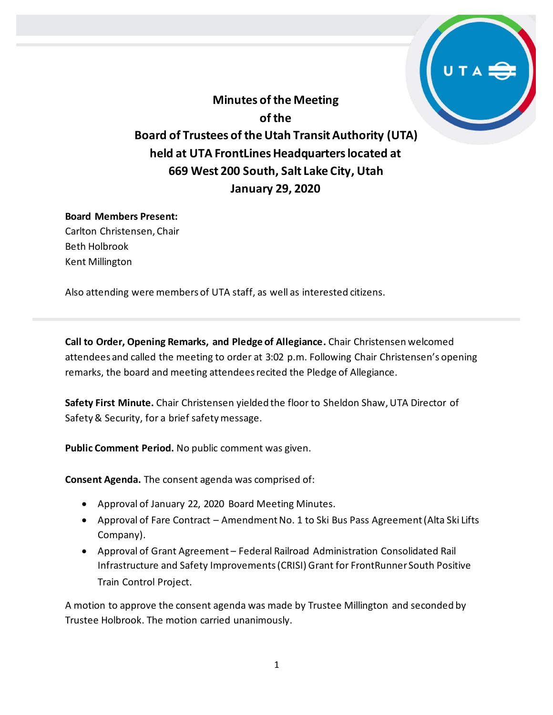**Minutes of the Meeting of the Board of Trustees of the Utah Transit Authority (UTA) held at UTA FrontLines Headquarters located at 669 West 200 South, Salt Lake City, Utah January 29, 2020**

### **Board Members Present:**

Carlton Christensen, Chair Beth Holbrook Kent Millington

Also attending were members of UTA staff, as well as interested citizens.

**Call to Order, Opening Remarks, and Pledge of Allegiance.** Chair Christensen welcomed attendees and called the meeting to order at 3:02 p.m. Following Chair Christensen's opening remarks, the board and meeting attendees recited the Pledge of Allegiance.

**Safety First Minute.** Chair Christensen yielded the floor to Sheldon Shaw,UTA Director of Safety & Security, for a brief safety message.

**Public Comment Period.** No public comment was given.

**Consent Agenda.** The consent agenda was comprised of:

- Approval of January 22, 2020 Board Meeting Minutes.
- Approval of Fare Contract Amendment No. 1 to Ski Bus Pass Agreement (Alta Ski Lifts Company).
- Approval of Grant Agreement Federal Railroad Administration Consolidated Rail Infrastructure and Safety Improvements (CRISI) Grant for FrontRunner South Positive Train Control Project.

A motion to approve the consent agenda was made by Trustee Millington and seconded by Trustee Holbrook. The motion carried unanimously.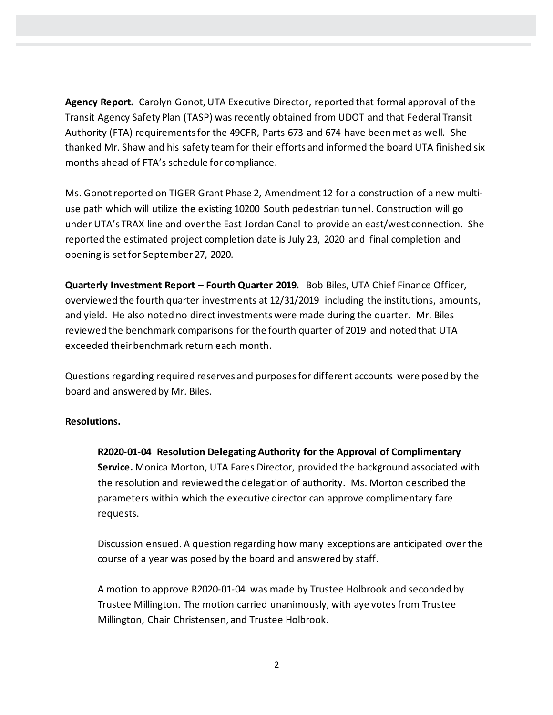**Agency Report.** Carolyn Gonot, UTA Executive Director, reported that formal approval of the Transit Agency Safety Plan (TASP) was recently obtained from UDOT and that Federal Transit Authority (FTA) requirements for the 49CFR, Parts 673 and 674 have been met as well. She thanked Mr. Shaw and his safety team for their efforts and informed the board UTA finished six months ahead of FTA's schedule for compliance.

Ms. Gonotreported on TIGER Grant Phase 2, Amendment 12 for a construction of a new multiuse path which will utilize the existing 10200 South pedestrian tunnel. Construction will go under UTA's TRAX line and over the East Jordan Canal to provide an east/west connection. She reported the estimated project completion date is July 23, 2020 and final completion and opening is set for September27, 2020.

**Quarterly Investment Report – Fourth Quarter 2019.** Bob Biles, UTA Chief Finance Officer, overviewed the fourth quarter investments at 12/31/2019 including the institutions, amounts, and yield. He also noted no direct investments were made during the quarter. Mr. Biles reviewed the benchmark comparisons for the fourth quarter of 2019 and noted that UTA exceeded their benchmark return each month.

Questions regarding required reserves and purposes for different accounts were posed by the board and answered by Mr. Biles.

# **Resolutions.**

**R2020-01-04 Resolution Delegating Authority for the Approval of Complimentary Service.** Monica Morton, UTA Fares Director, provided the background associated with the resolution and reviewed the delegation of authority. Ms. Morton described the parameters within which the executive director can approve complimentary fare requests.

Discussion ensued. A question regarding how many exceptions are anticipated over the course of a year was posed by the board and answered by staff.

A motion to approve R2020-01-04 was made by Trustee Holbrook and seconded by Trustee Millington. The motion carried unanimously, with aye votes from Trustee Millington, Chair Christensen, and Trustee Holbrook.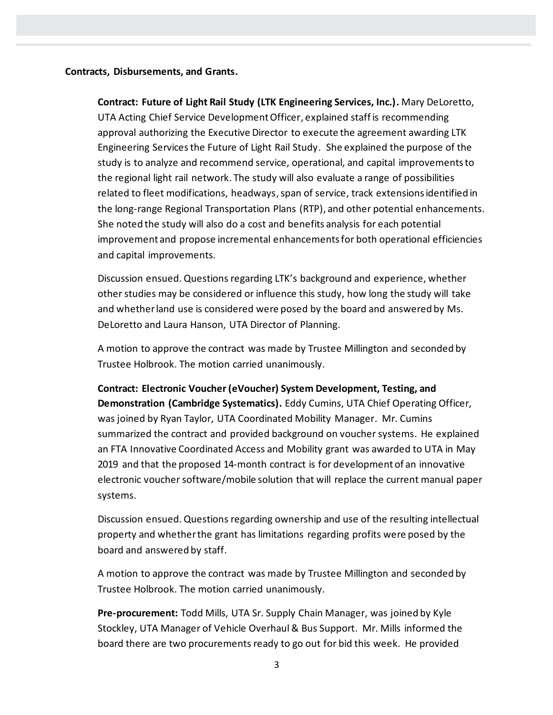### **Contracts, Disbursements, and Grants.**

**Contract: Future of Light Rail Study (LTK Engineering Services, Inc.).** Mary DeLoretto, UTA Acting Chief Service Development Officer, explained staff is recommending approval authorizing the Executive Director to execute the agreement awarding LTK Engineering Services the Future of Light Rail Study. She explained the purpose of the study is to analyze and recommend service, operational, and capital improvements to the regional light rail network. The study will also evaluate a range of possibilities related to fleet modifications, headways, span of service, track extensions identified in the long-range Regional Transportation Plans (RTP), and other potential enhancements. She noted the study will also do a cost and benefits analysis for each potential improvement and propose incremental enhancements for both operational efficiencies and capital improvements.

Discussion ensued. Questions regarding LTK's background and experience, whether other studies may be considered or influence this study, how long the study will take and whether land use is considered were posed by the board and answered by Ms. DeLoretto and Laura Hanson, UTA Director of Planning.

A motion to approve the contract was made by Trustee Millington and seconded by Trustee Holbrook. The motion carried unanimously.

**Contract: Electronic Voucher (eVoucher) System Development, Testing, and Demonstration (Cambridge Systematics).** Eddy Cumins, UTA Chief Operating Officer, was joined by Ryan Taylor, UTA Coordinated Mobility Manager. Mr. Cumins summarized the contract and provided background on voucher systems. He explained an FTA Innovative Coordinated Access and Mobility grant was awarded to UTA in May 2019 and that the proposed 14-month contract is for development of an innovative electronic voucher software/mobile solution that will replace the current manual paper systems.

Discussion ensued. Questions regarding ownership and use of the resulting intellectual property and whether the grant has limitations regarding profits were posed by the board and answered by staff.

A motion to approve the contract was made by Trustee Millington and seconded by Trustee Holbrook. The motion carried unanimously.

**Pre-procurement:** Todd Mills, UTA Sr. Supply Chain Manager, was joined by Kyle Stockley, UTA Manager of Vehicle Overhaul & Bus Support. Mr. Mills informed the board there are two procurements ready to go out for bid this week. He provided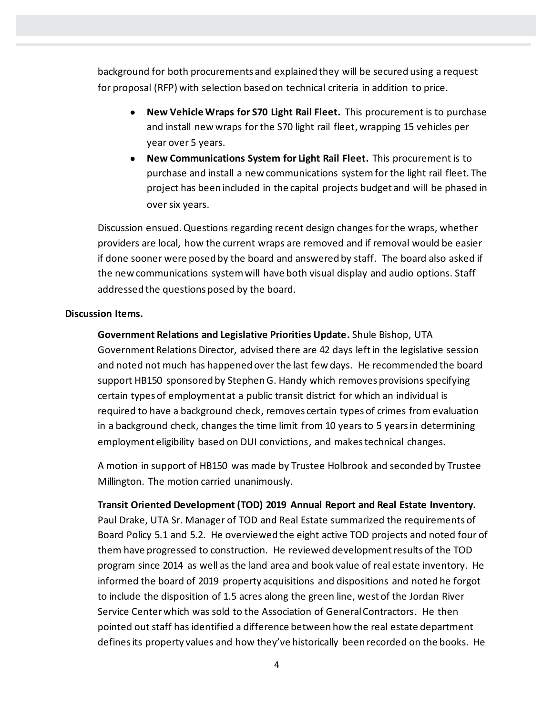background for both procurements and explained they will be secured using a request for proposal (RFP) with selection based on technical criteria in addition to price.

- **New Vehicle Wraps for S70 Light Rail Fleet.** This procurement is to purchase and install new wraps for the S70 light rail fleet, wrapping 15 vehicles per year over 5 years.
- **New Communications System for Light Rail Fleet.** This procurement is to purchase and install a new communications system for the light rail fleet. The project has been included in the capital projects budget and will be phased in over six years.

Discussion ensued. Questions regarding recent design changes for the wraps, whether providers are local, how the current wraps are removed and if removal would be easier if done sooner were posed by the board and answered by staff. The board also asked if the new communications system will have both visual display and audio options. Staff addressed the questions posed by the board.

### **Discussion Items.**

**Government Relations and Legislative Priorities Update.** Shule Bishop, UTA Government Relations Director, advised there are 42 days left in the legislative session and noted not much has happened over the last few days. He recommended the board support HB150 sponsored by Stephen G. Handy which removes provisions specifying certain types of employment at a public transit district for which an individual is required to have a background check, removes certain types of crimes from evaluation in a background check, changes the time limit from 10 years to 5 years in determining employment eligibility based on DUI convictions, and makes technical changes.

A motion in support of HB150 was made by Trustee Holbrook and seconded by Trustee Millington. The motion carried unanimously.

**Transit Oriented Development (TOD) 2019 Annual Report and Real Estate Inventory.** Paul Drake, UTA Sr. Manager of TOD and Real Estate summarized the requirements of Board Policy 5.1 and 5.2. He overviewed the eight active TOD projects and noted four of them have progressed to construction. He reviewed development results of the TOD program since 2014 as well as the land area and book value of real estate inventory. He informed the board of 2019 property acquisitions and dispositions and noted he forgot to include the disposition of 1.5 acres along the green line, west of the Jordan River Service Centerwhich was sold to the Association of General Contractors. He then pointed out staff has identified a difference between how the real estate department defines its property values and how they've historically been recorded on the books. He